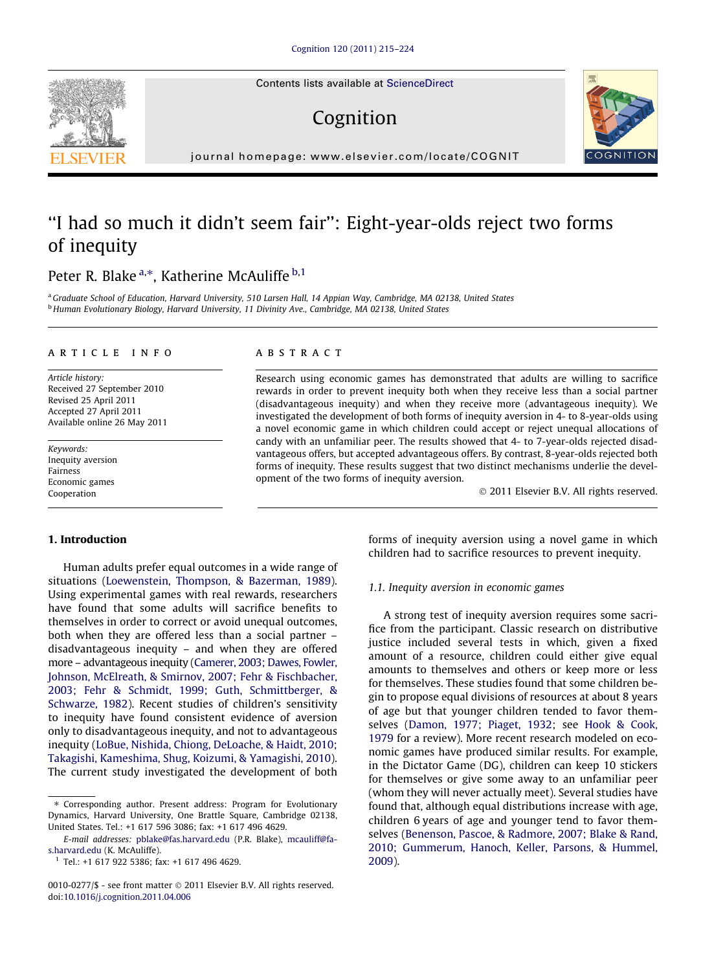Contents lists available at [ScienceDirect](http://www.sciencedirect.com/science/journal/00100277)

# Cognition



journal homepage: [www.elsevier.com/locate/COGNIT](http://www.elsevier.com/locate/COGNIT)

# ''I had so much it didn't seem fair'': Eight-year-olds reject two forms of inequity

# Peter R. Blake <sup>a,\*</sup>, Katherine McAuliffe <sup>b,1</sup>

a Graduate School of Education, Harvard University, 510 Larsen Hall, 14 Appian Way, Cambridge, MA 02138, United States <sup>b</sup> Human Evolutionary Biology, Harvard University, 11 Divinity Ave., Cambridge, MA 02138, United States

#### article info

Article history: Received 27 September 2010 Revised 25 April 2011 Accepted 27 April 2011 Available online 26 May 2011

Keywords: Inequity aversion Fairness Economic games Cooperation

#### 1. Introduction

Human adults prefer equal outcomes in a wide range of situations [\(Loewenstein, Thompson, & Bazerman, 1989](#page-8-0)). Using experimental games with real rewards, researchers have found that some adults will sacrifice benefits to themselves in order to correct or avoid unequal outcomes, both when they are offered less than a social partner – disadvantageous inequity – and when they are offered more – advantageous inequity ([Camerer, 2003; Dawes, Fowler,](#page-8-0) [Johnson, McElreath, & Smirnov, 2007; Fehr & Fischbacher,](#page-8-0) [2003; Fehr & Schmidt, 1999; Guth, Schmittberger, &](#page-8-0) [Schwarze, 1982\)](#page-8-0). Recent studies of children's sensitivity to inequity have found consistent evidence of aversion only to disadvantageous inequity, and not to advantageous inequity [\(LoBue, Nishida, Chiong, DeLoache, & Haidt, 2010;](#page-8-0) [Takagishi, Kameshima, Shug, Koizumi, & Yamagishi, 2010](#page-8-0)). The current study investigated the development of both

# ABSTRACT

Research using economic games has demonstrated that adults are willing to sacrifice rewards in order to prevent inequity both when they receive less than a social partner (disadvantageous inequity) and when they receive more (advantageous inequity). We investigated the development of both forms of inequity aversion in 4- to 8-year-olds using a novel economic game in which children could accept or reject unequal allocations of candy with an unfamiliar peer. The results showed that 4- to 7-year-olds rejected disadvantageous offers, but accepted advantageous offers. By contrast, 8-year-olds rejected both forms of inequity. These results suggest that two distinct mechanisms underlie the development of the two forms of inequity aversion.

- 2011 Elsevier B.V. All rights reserved.

forms of inequity aversion using a novel game in which children had to sacrifice resources to prevent inequity.

#### 1.1. Inequity aversion in economic games

A strong test of inequity aversion requires some sacrifice from the participant. Classic research on distributive justice included several tests in which, given a fixed amount of a resource, children could either give equal amounts to themselves and others or keep more or less for themselves. These studies found that some children begin to propose equal divisions of resources at about 8 years of age but that younger children tended to favor themselves ([Damon, 1977; Piaget, 1932](#page-8-0); see [Hook & Cook,](#page-8-0) [1979](#page-8-0) for a review). More recent research modeled on economic games have produced similar results. For example, in the Dictator Game (DG), children can keep 10 stickers for themselves or give some away to an unfamiliar peer (whom they will never actually meet). Several studies have found that, although equal distributions increase with age, children 6 years of age and younger tend to favor themselves [\(Benenson, Pascoe, & Radmore, 2007; Blake & Rand,](#page-8-0) [2010; Gummerum, Hanoch, Keller, Parsons, & Hummel,](#page-8-0) [2009\)](#page-8-0).



<sup>⇑</sup> Corresponding author. Present address: Program for Evolutionary Dynamics, Harvard University, One Brattle Square, Cambridge 02138, United States. Tel.: +1 617 596 3086; fax: +1 617 496 4629.

E-mail addresses: [pblake@fas.harvard.edu](mailto:pblake@fas.harvard.edu) (P.R. Blake), [mcauliff@fa](mailto:mcauliff@fas.harvard.edu)[s.harvard.edu](mailto:mcauliff@fas.harvard.edu) (K. McAuliffe).

<sup>1</sup> Tel.: +1 617 922 5386; fax: +1 617 496 4629.

<sup>0010-0277/\$ -</sup> see front matter © 2011 Elsevier B.V. All rights reserved. doi:[10.1016/j.cognition.2011.04.006](http://dx.doi.org/10.1016/j.cognition.2011.04.006)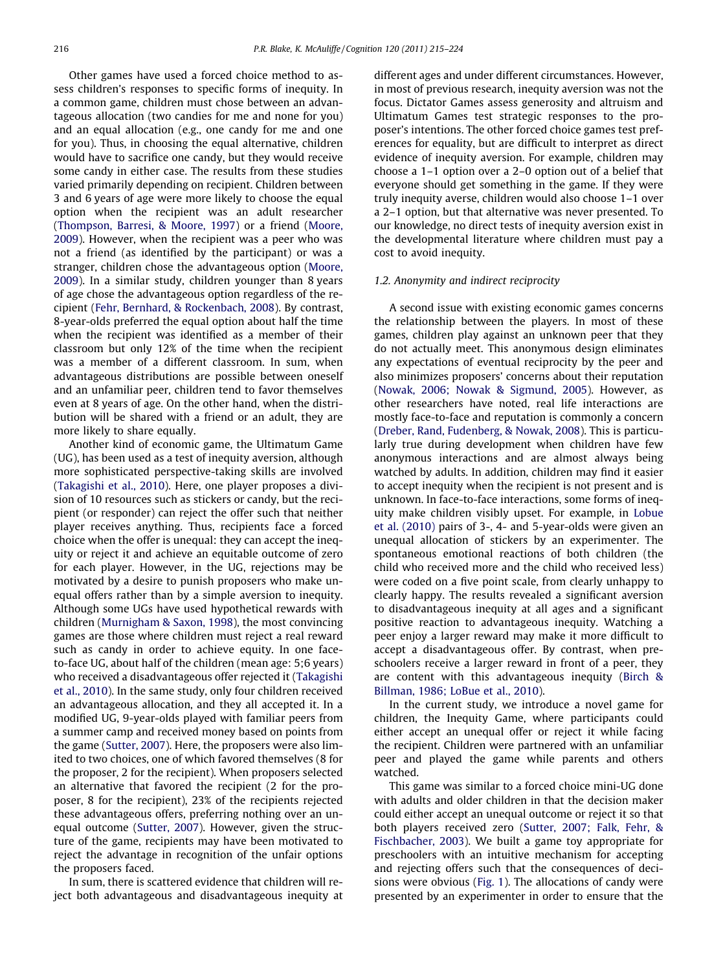Other games have used a forced choice method to assess children's responses to specific forms of inequity. In a common game, children must chose between an advantageous allocation (two candies for me and none for you) and an equal allocation (e.g., one candy for me and one for you). Thus, in choosing the equal alternative, children would have to sacrifice one candy, but they would receive some candy in either case. The results from these studies varied primarily depending on recipient. Children between 3 and 6 years of age were more likely to choose the equal option when the recipient was an adult researcher [\(Thompson, Barresi, & Moore, 1997](#page-9-0)) or a friend [\(Moore,](#page-8-0) [2009](#page-8-0)). However, when the recipient was a peer who was not a friend (as identified by the participant) or was a stranger, children chose the advantageous option [\(Moore,](#page-8-0) [2009](#page-8-0)). In a similar study, children younger than 8 years of age chose the advantageous option regardless of the recipient ([Fehr, Bernhard, & Rockenbach, 2008](#page-8-0)). By contrast, 8-year-olds preferred the equal option about half the time when the recipient was identified as a member of their classroom but only 12% of the time when the recipient was a member of a different classroom. In sum, when advantageous distributions are possible between oneself and an unfamiliar peer, children tend to favor themselves even at 8 years of age. On the other hand, when the distribution will be shared with a friend or an adult, they are more likely to share equally.

Another kind of economic game, the Ultimatum Game (UG), has been used as a test of inequity aversion, although more sophisticated perspective-taking skills are involved [\(Takagishi et al., 2010\)](#page-9-0). Here, one player proposes a division of 10 resources such as stickers or candy, but the recipient (or responder) can reject the offer such that neither player receives anything. Thus, recipients face a forced choice when the offer is unequal: they can accept the inequity or reject it and achieve an equitable outcome of zero for each player. However, in the UG, rejections may be motivated by a desire to punish proposers who make unequal offers rather than by a simple aversion to inequity. Although some UGs have used hypothetical rewards with children ([Murnigham & Saxon, 1998](#page-8-0)), the most convincing games are those where children must reject a real reward such as candy in order to achieve equity. In one faceto-face UG, about half of the children (mean age: 5;6 years) who received a disadvantageous offer rejected it ([Takagishi](#page-9-0) [et al., 2010](#page-9-0)). In the same study, only four children received an advantageous allocation, and they all accepted it. In a modified UG, 9-year-olds played with familiar peers from a summer camp and received money based on points from the game ([Sutter, 2007\)](#page-9-0). Here, the proposers were also limited to two choices, one of which favored themselves (8 for the proposer, 2 for the recipient). When proposers selected an alternative that favored the recipient (2 for the proposer, 8 for the recipient), 23% of the recipients rejected these advantageous offers, preferring nothing over an unequal outcome [\(Sutter, 2007](#page-9-0)). However, given the structure of the game, recipients may have been motivated to reject the advantage in recognition of the unfair options the proposers faced.

In sum, there is scattered evidence that children will reject both advantageous and disadvantageous inequity at

different ages and under different circumstances. However, in most of previous research, inequity aversion was not the focus. Dictator Games assess generosity and altruism and Ultimatum Games test strategic responses to the proposer's intentions. The other forced choice games test preferences for equality, but are difficult to interpret as direct evidence of inequity aversion. For example, children may choose a 1–1 option over a 2–0 option out of a belief that everyone should get something in the game. If they were truly inequity averse, children would also choose 1–1 over a 2–1 option, but that alternative was never presented. To our knowledge, no direct tests of inequity aversion exist in the developmental literature where children must pay a cost to avoid inequity.

#### 1.2. Anonymity and indirect reciprocity

A second issue with existing economic games concerns the relationship between the players. In most of these games, children play against an unknown peer that they do not actually meet. This anonymous design eliminates any expectations of eventual reciprocity by the peer and also minimizes proposers' concerns about their reputation [\(Nowak, 2006; Nowak & Sigmund, 2005](#page-8-0)). However, as other researchers have noted, real life interactions are mostly face-to-face and reputation is commonly a concern [\(Dreber, Rand, Fudenberg, & Nowak, 2008\)](#page-8-0). This is particularly true during development when children have few anonymous interactions and are almost always being watched by adults. In addition, children may find it easier to accept inequity when the recipient is not present and is unknown. In face-to-face interactions, some forms of inequity make children visibly upset. For example, in [Lobue](#page-8-0) [et al. \(2010\)](#page-8-0) pairs of 3-, 4- and 5-year-olds were given an unequal allocation of stickers by an experimenter. The spontaneous emotional reactions of both children (the child who received more and the child who received less) were coded on a five point scale, from clearly unhappy to clearly happy. The results revealed a significant aversion to disadvantageous inequity at all ages and a significant positive reaction to advantageous inequity. Watching a peer enjoy a larger reward may make it more difficult to accept a disadvantageous offer. By contrast, when preschoolers receive a larger reward in front of a peer, they are content with this advantageous inequity ([Birch &](#page-8-0) [Billman, 1986; LoBue et al., 2010\)](#page-8-0).

In the current study, we introduce a novel game for children, the Inequity Game, where participants could either accept an unequal offer or reject it while facing the recipient. Children were partnered with an unfamiliar peer and played the game while parents and others watched.

This game was similar to a forced choice mini-UG done with adults and older children in that the decision maker could either accept an unequal outcome or reject it so that both players received zero ([Sutter, 2007; Falk, Fehr, &](#page-9-0) [Fischbacher, 2003](#page-9-0)). We built a game toy appropriate for preschoolers with an intuitive mechanism for accepting and rejecting offers such that the consequences of decisions were obvious [\(Fig. 1\)](#page-2-0). The allocations of candy were presented by an experimenter in order to ensure that the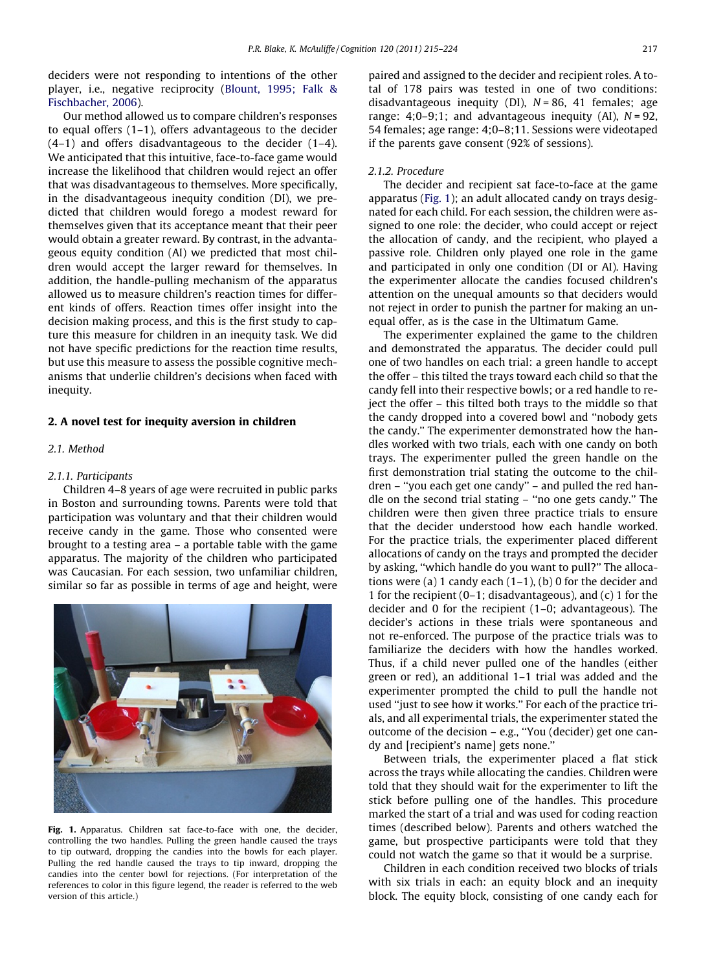<span id="page-2-0"></span>deciders were not responding to intentions of the other player, i.e., negative reciprocity [\(Blount, 1995; Falk &](#page-8-0) [Fischbacher, 2006\)](#page-8-0).

Our method allowed us to compare children's responses to equal offers (1–1), offers advantageous to the decider (4–1) and offers disadvantageous to the decider (1–4). We anticipated that this intuitive, face-to-face game would increase the likelihood that children would reject an offer that was disadvantageous to themselves. More specifically, in the disadvantageous inequity condition (DI), we predicted that children would forego a modest reward for themselves given that its acceptance meant that their peer would obtain a greater reward. By contrast, in the advantageous equity condition (AI) we predicted that most children would accept the larger reward for themselves. In addition, the handle-pulling mechanism of the apparatus allowed us to measure children's reaction times for different kinds of offers. Reaction times offer insight into the decision making process, and this is the first study to capture this measure for children in an inequity task. We did not have specific predictions for the reaction time results, but use this measure to assess the possible cognitive mechanisms that underlie children's decisions when faced with inequity.

#### 2. A novel test for inequity aversion in children

#### 2.1. Method

#### 2.1.1. Participants

Children 4–8 years of age were recruited in public parks in Boston and surrounding towns. Parents were told that participation was voluntary and that their children would receive candy in the game. Those who consented were brought to a testing area – a portable table with the game apparatus. The majority of the children who participated was Caucasian. For each session, two unfamiliar children, similar so far as possible in terms of age and height, were



Fig. 1. Apparatus. Children sat face-to-face with one, the decider, controlling the two handles. Pulling the green handle caused the trays to tip outward, dropping the candies into the bowls for each player. Pulling the red handle caused the trays to tip inward, dropping the candies into the center bowl for rejections. (For interpretation of the references to color in this figure legend, the reader is referred to the web version of this article.)

paired and assigned to the decider and recipient roles. A total of 178 pairs was tested in one of two conditions: disadvantageous inequity (DI),  $N = 86$ , 41 females; age range:  $4;0-9;1$ ; and advantageous inequity (AI),  $N = 92$ , 54 females; age range: 4;0–8;11. Sessions were videotaped if the parents gave consent (92% of sessions).

#### 2.1.2. Procedure

The decider and recipient sat face-to-face at the game apparatus (Fig. 1); an adult allocated candy on trays designated for each child. For each session, the children were assigned to one role: the decider, who could accept or reject the allocation of candy, and the recipient, who played a passive role. Children only played one role in the game and participated in only one condition (DI or AI). Having the experimenter allocate the candies focused children's attention on the unequal amounts so that deciders would not reject in order to punish the partner for making an unequal offer, as is the case in the Ultimatum Game.

The experimenter explained the game to the children and demonstrated the apparatus. The decider could pull one of two handles on each trial: a green handle to accept the offer – this tilted the trays toward each child so that the candy fell into their respective bowls; or a red handle to reject the offer – this tilted both trays to the middle so that the candy dropped into a covered bowl and ''nobody gets the candy.'' The experimenter demonstrated how the handles worked with two trials, each with one candy on both trays. The experimenter pulled the green handle on the first demonstration trial stating the outcome to the children – ''you each get one candy'' – and pulled the red handle on the second trial stating – ''no one gets candy.'' The children were then given three practice trials to ensure that the decider understood how each handle worked. For the practice trials, the experimenter placed different allocations of candy on the trays and prompted the decider by asking, ''which handle do you want to pull?'' The allocations were (a) 1 candy each  $(1-1)$ , (b) 0 for the decider and 1 for the recipient (0–1; disadvantageous), and (c) 1 for the decider and 0 for the recipient (1–0; advantageous). The decider's actions in these trials were spontaneous and not re-enforced. The purpose of the practice trials was to familiarize the deciders with how the handles worked. Thus, if a child never pulled one of the handles (either green or red), an additional 1–1 trial was added and the experimenter prompted the child to pull the handle not used ''just to see how it works.'' For each of the practice trials, and all experimental trials, the experimenter stated the outcome of the decision – e.g., ''You (decider) get one candy and [recipient's name] gets none.''

Between trials, the experimenter placed a flat stick across the trays while allocating the candies. Children were told that they should wait for the experimenter to lift the stick before pulling one of the handles. This procedure marked the start of a trial and was used for coding reaction times (described below). Parents and others watched the game, but prospective participants were told that they could not watch the game so that it would be a surprise.

Children in each condition received two blocks of trials with six trials in each: an equity block and an inequity block. The equity block, consisting of one candy each for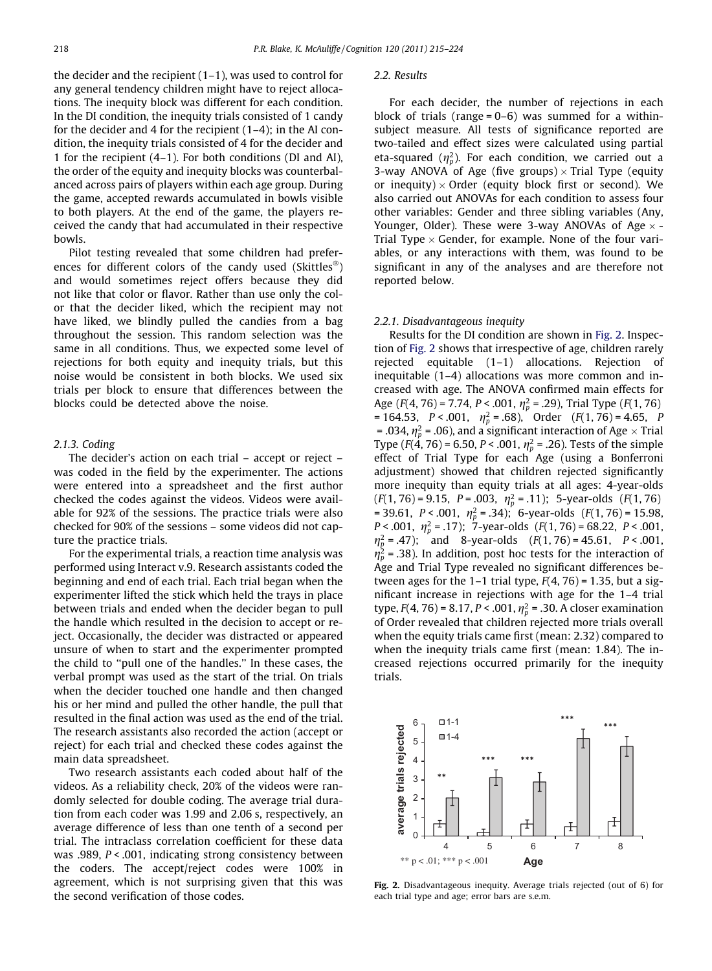the decider and the recipient  $(1-1)$ , was used to control for any general tendency children might have to reject allocations. The inequity block was different for each condition. In the DI condition, the inequity trials consisted of 1 candy for the decider and 4 for the recipient  $(1-4)$ ; in the AI condition, the inequity trials consisted of 4 for the decider and 1 for the recipient (4–1). For both conditions (DI and AI), the order of the equity and inequity blocks was counterbalanced across pairs of players within each age group. During the game, accepted rewards accumulated in bowls visible to both players. At the end of the game, the players received the candy that had accumulated in their respective bowls.

Pilot testing revealed that some children had preferences for different colors of the candy used (Skittles®) and would sometimes reject offers because they did not like that color or flavor. Rather than use only the color that the decider liked, which the recipient may not have liked, we blindly pulled the candies from a bag throughout the session. This random selection was the same in all conditions. Thus, we expected some level of rejections for both equity and inequity trials, but this noise would be consistent in both blocks. We used six trials per block to ensure that differences between the blocks could be detected above the noise.

#### 2.1.3. Coding

The decider's action on each trial – accept or reject – was coded in the field by the experimenter. The actions were entered into a spreadsheet and the first author checked the codes against the videos. Videos were available for 92% of the sessions. The practice trials were also checked for 90% of the sessions – some videos did not capture the practice trials.

For the experimental trials, a reaction time analysis was performed using Interact v.9. Research assistants coded the beginning and end of each trial. Each trial began when the experimenter lifted the stick which held the trays in place between trials and ended when the decider began to pull the handle which resulted in the decision to accept or reject. Occasionally, the decider was distracted or appeared unsure of when to start and the experimenter prompted the child to ''pull one of the handles.'' In these cases, the verbal prompt was used as the start of the trial. On trials when the decider touched one handle and then changed his or her mind and pulled the other handle, the pull that resulted in the final action was used as the end of the trial. The research assistants also recorded the action (accept or reject) for each trial and checked these codes against the main data spreadsheet.

Two research assistants each coded about half of the videos. As a reliability check, 20% of the videos were randomly selected for double coding. The average trial duration from each coder was 1.99 and 2.06 s, respectively, an average difference of less than one tenth of a second per trial. The intraclass correlation coefficient for these data was .989,  $P < .001$ , indicating strong consistency between the coders. The accept/reject codes were 100% in agreement, which is not surprising given that this was the second verification of those codes.

# 2.2. Results

For each decider, the number of rejections in each block of trials (range =  $0-6$ ) was summed for a withinsubject measure. All tests of significance reported are two-tailed and effect sizes were calculated using partial eta-squared  $(\eta_p^2)$ . For each condition, we carried out a 3-way ANOVA of Age (five groups)  $\times$  Trial Type (equity or inequity)  $\times$  Order (equity block first or second). We also carried out ANOVAs for each condition to assess four other variables: Gender and three sibling variables (Any, Younger, Older). These were 3-way ANOVAs of Age  $\times$  -Trial Type  $\times$  Gender, for example. None of the four variables, or any interactions with them, was found to be significant in any of the analyses and are therefore not reported below.

#### 2.2.1. Disadvantageous inequity

Results for the DI condition are shown in Fig. 2. Inspection of Fig. 2 shows that irrespective of age, children rarely rejected equitable (1–1) allocations. Rejection of inequitable (1–4) allocations was more common and increased with age. The ANOVA confirmed main effects for Age (*F*(4, 76) = 7.74, *P* < .001,  $\eta_p^2$  = .29), Trial Type (*F*(1, 76) = 164.53,  $P < .001$ ,  $\eta_p^2 = .68$ ), Order ( $F(1, 76) = 4.65$ , F = .034,  $\eta_p^2$  = .06), and a significant interaction of Age  $\times$  Trial Type (*F*(4, 76) = 6.50, *P* < .001,  $\eta_p^2$  = .26). Tests of the simple effect of Trial Type for each Age (using a Bonferroni adjustment) showed that children rejected significantly more inequity than equity trials at all ages: 4-year-olds  $(F(1, 76) = 9.15, P = .003, \eta_p^2 = .11);$  5-year-olds  $(F(1, 76)$ = 39.61, P < .001,  $\eta_p^2$  = .34); 6-year-olds (F(1, 76) = 15.98,  $P < .001$ ,  $\eta_p^2 = .17$ ); 7-year-olds  $(F(1, 76) = 68.22, P < .001$  $\eta_p^2$  = .47); and 8-year-olds (F(1, 76) = 45.61, P < .001,  $\eta_p^2$  = .38). In addition, post hoc tests for the interaction of Age and Trial Type revealed no significant differences between ages for the 1–1 trial type,  $F(4, 76)$  = 1.35, but a significant increase in rejections with age for the 1–4 trial type,  $F(4, 76) = 8.17$ ,  $P < .001$ ,  $\eta_p^2 = .30$ . A closer examination of Order revealed that children rejected more trials overall when the equity trials came first (mean: 2.32) compared to when the inequity trials came first (mean: 1.84). The increased rejections occurred primarily for the inequity trials.



Fig. 2. Disadvantageous inequity. Average trials rejected (out of 6) for each trial type and age; error bars are s.e.m.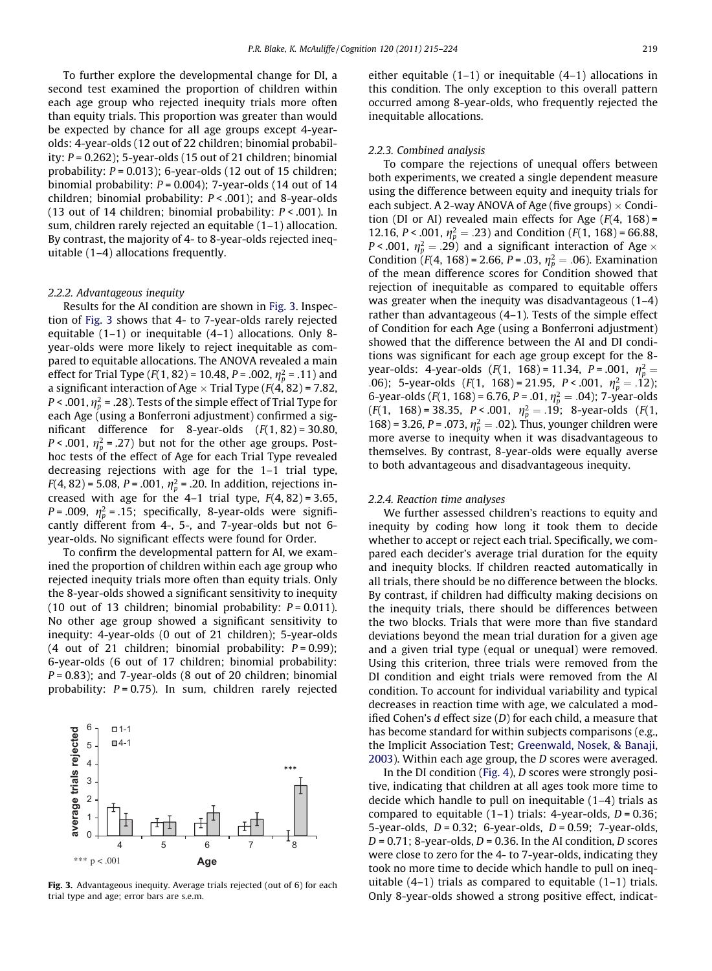To further explore the developmental change for DI, a second test examined the proportion of children within each age group who rejected inequity trials more often than equity trials. This proportion was greater than would be expected by chance for all age groups except 4-yearolds: 4-year-olds (12 out of 22 children; binomial probability:  $P = 0.262$ ); 5-year-olds (15 out of 21 children; binomial probability:  $P = 0.013$ ); 6-year-olds (12 out of 15 children; binomial probability:  $P = 0.004$ ); 7-year-olds (14 out of 14 children; binomial probability:  $P < .001$ ); and 8-year-olds (13 out of 14 children; binomial probability:  $P < .001$ ). In sum, children rarely rejected an equitable (1–1) allocation. By contrast, the majority of 4- to 8-year-olds rejected inequitable (1–4) allocations frequently.

#### 2.2.2. Advantageous inequity

Results for the AI condition are shown in Fig. 3. Inspection of Fig. 3 shows that 4- to 7-year-olds rarely rejected equitable (1–1) or inequitable (4–1) allocations. Only 8 year-olds were more likely to reject inequitable as compared to equitable allocations. The ANOVA revealed a main effect for Trial Type (F(1, 82) = 10.48, P = .002,  $\eta_p^2$  = .11) and a significant interaction of Age  $\times$  Trial Type (F(4, 82) = 7.82, P < .001,  $\eta_p^2$  = .28). Tests of the simple effect of Trial Type for each Age (using a Bonferroni adjustment) confirmed a significant difference for 8-year-olds  $(F(1, 82) = 30.80,$ P < .001,  $\eta_p^2$  = .27) but not for the other age groups. Posthoc tests of the effect of Age for each Trial Type revealed decreasing rejections with age for the 1–1 trial type,  $F(4, 82)$  = 5.08, P = .001,  $\eta_p^2$  = .20. In addition, rejections increased with age for the 4–1 trial type,  $F(4, 82) = 3.65$ ,  $P = .009$ ,  $\eta_p^2 = .15$ ; specifically, 8-year-olds were significantly different from 4-, 5-, and 7-year-olds but not 6 year-olds. No significant effects were found for Order.

To confirm the developmental pattern for AI, we examined the proportion of children within each age group who rejected inequity trials more often than equity trials. Only the 8-year-olds showed a significant sensitivity to inequity (10 out of 13 children; binomial probability:  $P = 0.011$ ). No other age group showed a significant sensitivity to inequity: 4-year-olds (0 out of 21 children); 5-year-olds (4 out of 21 children; binomial probability:  $P = 0.99$ ); 6-year-olds (6 out of 17 children; binomial probability:  $P = 0.83$ ); and 7-year-olds (8 out of 20 children; binomial probability:  $P = 0.75$ ). In sum, children rarely rejected



Fig. 3. Advantageous inequity. Average trials rejected (out of 6) for each trial type and age; error bars are s.e.m.

either equitable (1–1) or inequitable (4–1) allocations in this condition. The only exception to this overall pattern occurred among 8-year-olds, who frequently rejected the inequitable allocations.

#### 2.2.3. Combined analysis

To compare the rejections of unequal offers between both experiments, we created a single dependent measure using the difference between equity and inequity trials for each subject. A 2-way ANOVA of Age (five groups)  $\times$  Condition (DI or AI) revealed main effects for Age  $(F(4, 168)) =$ 12.16, P < .001,  $\eta_p^2 = .23$ ) and Condition (F(1, 168) = 66.88, P < .001,  $\eta_p^2 = .29$ ) and a significant interaction of Age  $\times$ Condition (*F*(4, 168) = 2.66, *P* = .03,  $\eta_p^2 = .06$ ). Examination of the mean difference scores for Condition showed that rejection of inequitable as compared to equitable offers was greater when the inequity was disadvantageous (1–4) rather than advantageous (4–1). Tests of the simple effect of Condition for each Age (using a Bonferroni adjustment) showed that the difference between the AI and DI conditions was significant for each age group except for the 8 year-olds: 4-year-olds ( $F(1, 168)$  = 11.34,  $P = .001$ ,  $\eta_p^2 =$ .06); 5-year-olds  $(F(1, 168) = 21.95, P < .001, \eta_p^2 = .12)$ ; 6-year-olds ( $F(1, 168)$  = 6.76, P = .01,  $\eta_p^2 = .04$ ); 7-year-olds (*F*(1, 168) = 38.35, *P* < .001,  $\eta_p^2 = .19$ ; 8-year-olds (*F*(1, 168) = 3.26, P = .073,  $\eta_p^2 = 0.02$ ). Thus, younger children were more averse to inequity when it was disadvantageous to themselves. By contrast, 8-year-olds were equally averse to both advantageous and disadvantageous inequity.

#### 2.2.4. Reaction time analyses

We further assessed children's reactions to equity and inequity by coding how long it took them to decide whether to accept or reject each trial. Specifically, we compared each decider's average trial duration for the equity and inequity blocks. If children reacted automatically in all trials, there should be no difference between the blocks. By contrast, if children had difficulty making decisions on the inequity trials, there should be differences between the two blocks. Trials that were more than five standard deviations beyond the mean trial duration for a given age and a given trial type (equal or unequal) were removed. Using this criterion, three trials were removed from the DI condition and eight trials were removed from the AI condition. To account for individual variability and typical decreases in reaction time with age, we calculated a modified Cohen's  $d$  effect size  $(D)$  for each child, a measure that has become standard for within subjects comparisons (e.g., the Implicit Association Test; [Greenwald, Nosek, & Banaji,](#page-8-0) [2003\)](#page-8-0). Within each age group, the D scores were averaged.

In the DI condition [\(Fig. 4](#page-5-0)), D scores were strongly positive, indicating that children at all ages took more time to decide which handle to pull on inequitable (1–4) trials as compared to equitable  $(1-1)$  trials: 4-year-olds,  $D = 0.36$ ; 5-year-olds,  $D = 0.32$ ; 6-year-olds,  $D = 0.59$ ; 7-year-olds,  $D = 0.71$ ; 8-year-olds,  $D = 0.36$ . In the AI condition, D scores were close to zero for the 4- to 7-year-olds, indicating they took no more time to decide which handle to pull on inequitable (4–1) trials as compared to equitable (1–1) trials. Only 8-year-olds showed a strong positive effect, indicat-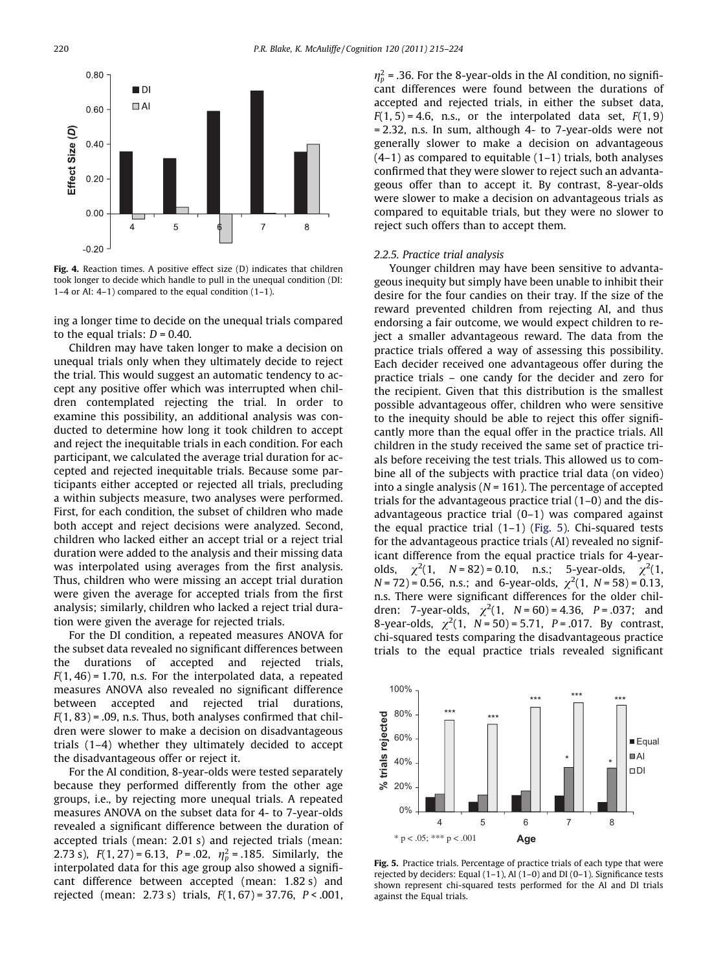<span id="page-5-0"></span>

Fig. 4. Reaction times. A positive effect size (D) indicates that children took longer to decide which handle to pull in the unequal condition (DI: 1–4 or AI: 4–1) compared to the equal condition (1–1).

ing a longer time to decide on the unequal trials compared to the equal trials:  $D = 0.40$ .

Children may have taken longer to make a decision on unequal trials only when they ultimately decide to reject the trial. This would suggest an automatic tendency to accept any positive offer which was interrupted when children contemplated rejecting the trial. In order to examine this possibility, an additional analysis was conducted to determine how long it took children to accept and reject the inequitable trials in each condition. For each participant, we calculated the average trial duration for accepted and rejected inequitable trials. Because some participants either accepted or rejected all trials, precluding a within subjects measure, two analyses were performed. First, for each condition, the subset of children who made both accept and reject decisions were analyzed. Second, children who lacked either an accept trial or a reject trial duration were added to the analysis and their missing data was interpolated using averages from the first analysis. Thus, children who were missing an accept trial duration were given the average for accepted trials from the first analysis; similarly, children who lacked a reject trial duration were given the average for rejected trials.

For the DI condition, a repeated measures ANOVA for the subset data revealed no significant differences between the durations of accepted and rejected trials,  $F(1, 46) = 1.70$ , n.s. For the interpolated data, a repeated measures ANOVA also revealed no significant difference between accepted and rejected trial durations,  $F(1, 83)$  = .09, n.s. Thus, both analyses confirmed that children were slower to make a decision on disadvantageous trials (1–4) whether they ultimately decided to accept the disadvantageous offer or reject it.

For the AI condition, 8-year-olds were tested separately because they performed differently from the other age groups, i.e., by rejecting more unequal trials. A repeated measures ANOVA on the subset data for 4- to 7-year-olds revealed a significant difference between the duration of accepted trials (mean: 2.01 s) and rejected trials (mean: 2.73 s),  $F(1, 27) = 6.13$ ,  $P = .02$ ,  $\eta_p^2 = .185$ . Similarly, the interpolated data for this age group also showed a significant difference between accepted (mean: 1.82 s) and rejected (mean: 2.73 s) trials,  $F(1, 67) = 37.76$ ,  $P < .001$ ,

 $\eta_p^2$  = .36. For the 8-year-olds in the AI condition, no significant differences were found between the durations of accepted and rejected trials, in either the subset data,  $F(1, 5) = 4.6$ , n.s., or the interpolated data set,  $F(1, 9)$ = 2.32, n.s. In sum, although 4- to 7-year-olds were not generally slower to make a decision on advantageous  $(4-1)$  as compared to equitable  $(1-1)$  trials, both analyses confirmed that they were slower to reject such an advantageous offer than to accept it. By contrast, 8-year-olds were slower to make a decision on advantageous trials as compared to equitable trials, but they were no slower to reject such offers than to accept them.

#### 2.2.5. Practice trial analysis

Younger children may have been sensitive to advantageous inequity but simply have been unable to inhibit their desire for the four candies on their tray. If the size of the reward prevented children from rejecting AI, and thus endorsing a fair outcome, we would expect children to reject a smaller advantageous reward. The data from the practice trials offered a way of assessing this possibility. Each decider received one advantageous offer during the practice trials – one candy for the decider and zero for the recipient. Given that this distribution is the smallest possible advantageous offer, children who were sensitive to the inequity should be able to reject this offer significantly more than the equal offer in the practice trials. All children in the study received the same set of practice trials before receiving the test trials. This allowed us to combine all of the subjects with practice trial data (on video) into a single analysis ( $N = 161$ ). The percentage of accepted trials for the advantageous practice trial (1–0) and the disadvantageous practice trial (0–1) was compared against the equal practice trial (1–1) (Fig. 5). Chi-squared tests for the advantageous practice trials (AI) revealed no significant difference from the equal practice trials for 4-yearolds,  $(1, N = 82) = 0.10, n.s.; 5-year-olds,  $\chi^2(1, N = 1.5)$$  $N = 72$ ) = 0.56, n.s.; and 6-year-olds,  $\chi^2(1, N = 58) = 0.13$ n.s. There were significant differences for the older children: 7-year-olds,  $\chi^2(1, N = 60) = 4.36$ ,  $P = .037$ ; and 8-year-olds,  $\chi^2(1, N = 50) = 5.71, P = .017$ . By contrast, chi-squared tests comparing the disadvantageous practice trials to the equal practice trials revealed significant



Fig. 5. Practice trials. Percentage of practice trials of each type that were rejected by deciders: Equal  $(1-1)$ , AI  $(1-0)$  and DI  $(0-1)$ . Significance tests shown represent chi-squared tests performed for the AI and DI trials against the Equal trials.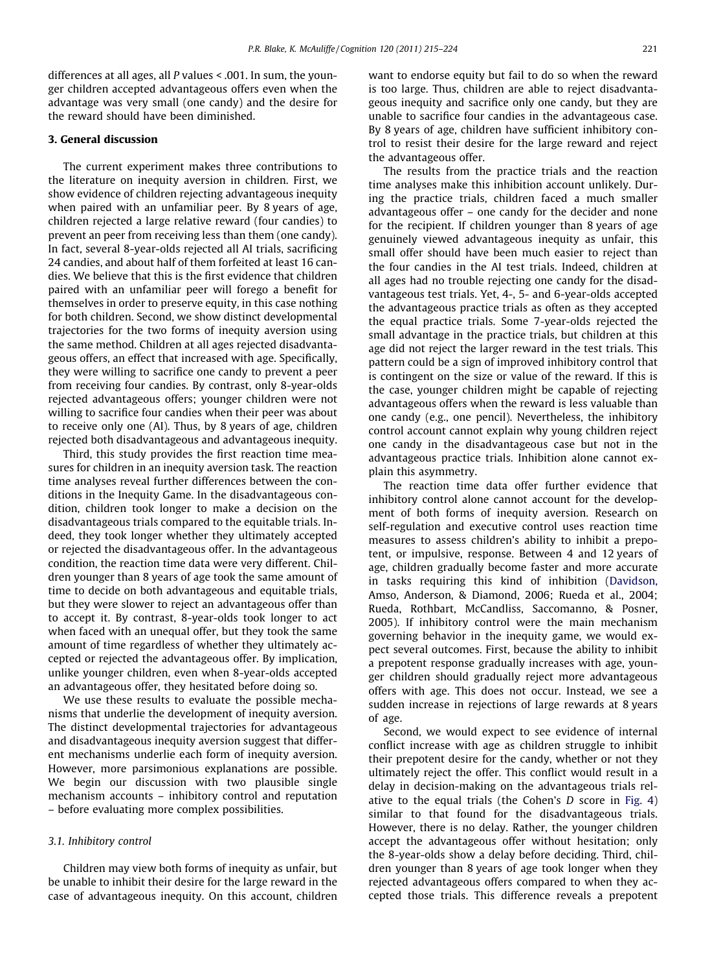differences at all ages, all P values < .001. In sum, the younger children accepted advantageous offers even when the advantage was very small (one candy) and the desire for the reward should have been diminished.

# 3. General discussion

The current experiment makes three contributions to the literature on inequity aversion in children. First, we show evidence of children rejecting advantageous inequity when paired with an unfamiliar peer. By 8 years of age, children rejected a large relative reward (four candies) to prevent an peer from receiving less than them (one candy). In fact, several 8-year-olds rejected all AI trials, sacrificing 24 candies, and about half of them forfeited at least 16 candies. We believe that this is the first evidence that children paired with an unfamiliar peer will forego a benefit for themselves in order to preserve equity, in this case nothing for both children. Second, we show distinct developmental trajectories for the two forms of inequity aversion using the same method. Children at all ages rejected disadvantageous offers, an effect that increased with age. Specifically, they were willing to sacrifice one candy to prevent a peer from receiving four candies. By contrast, only 8-year-olds rejected advantageous offers; younger children were not willing to sacrifice four candies when their peer was about to receive only one (AI). Thus, by 8 years of age, children rejected both disadvantageous and advantageous inequity.

Third, this study provides the first reaction time measures for children in an inequity aversion task. The reaction time analyses reveal further differences between the conditions in the Inequity Game. In the disadvantageous condition, children took longer to make a decision on the disadvantageous trials compared to the equitable trials. Indeed, they took longer whether they ultimately accepted or rejected the disadvantageous offer. In the advantageous condition, the reaction time data were very different. Children younger than 8 years of age took the same amount of time to decide on both advantageous and equitable trials, but they were slower to reject an advantageous offer than to accept it. By contrast, 8-year-olds took longer to act when faced with an unequal offer, but they took the same amount of time regardless of whether they ultimately accepted or rejected the advantageous offer. By implication, unlike younger children, even when 8-year-olds accepted an advantageous offer, they hesitated before doing so.

We use these results to evaluate the possible mechanisms that underlie the development of inequity aversion. The distinct developmental trajectories for advantageous and disadvantageous inequity aversion suggest that different mechanisms underlie each form of inequity aversion. However, more parsimonious explanations are possible. We begin our discussion with two plausible single mechanism accounts – inhibitory control and reputation – before evaluating more complex possibilities.

#### 3.1. Inhibitory control

Children may view both forms of inequity as unfair, but be unable to inhibit their desire for the large reward in the case of advantageous inequity. On this account, children want to endorse equity but fail to do so when the reward is too large. Thus, children are able to reject disadvantageous inequity and sacrifice only one candy, but they are unable to sacrifice four candies in the advantageous case. By 8 years of age, children have sufficient inhibitory control to resist their desire for the large reward and reject the advantageous offer.

The results from the practice trials and the reaction time analyses make this inhibition account unlikely. During the practice trials, children faced a much smaller advantageous offer – one candy for the decider and none for the recipient. If children younger than 8 years of age genuinely viewed advantageous inequity as unfair, this small offer should have been much easier to reject than the four candies in the AI test trials. Indeed, children at all ages had no trouble rejecting one candy for the disadvantageous test trials. Yet, 4-, 5- and 6-year-olds accepted the advantageous practice trials as often as they accepted the equal practice trials. Some 7-year-olds rejected the small advantage in the practice trials, but children at this age did not reject the larger reward in the test trials. This pattern could be a sign of improved inhibitory control that is contingent on the size or value of the reward. If this is the case, younger children might be capable of rejecting advantageous offers when the reward is less valuable than one candy (e.g., one pencil). Nevertheless, the inhibitory control account cannot explain why young children reject one candy in the disadvantageous case but not in the advantageous practice trials. Inhibition alone cannot explain this asymmetry.

The reaction time data offer further evidence that inhibitory control alone cannot account for the development of both forms of inequity aversion. Research on self-regulation and executive control uses reaction time measures to assess children's ability to inhibit a prepotent, or impulsive, response. Between 4 and 12 years of age, children gradually become faster and more accurate in tasks requiring this kind of inhibition [\(Davidson,](#page-8-0) Amso, Anderson, & Diamond, 2006; Rueda et al., 2004; Rueda, Rothbart, McCandliss, Saccomanno, & Posner, 2005). If inhibitory control were the main mechanism governing behavior in the inequity game, we would expect several outcomes. First, because the ability to inhibit a prepotent response gradually increases with age, younger children should gradually reject more advantageous offers with age. This does not occur. Instead, we see a sudden increase in rejections of large rewards at 8 years of age.

Second, we would expect to see evidence of internal conflict increase with age as children struggle to inhibit their prepotent desire for the candy, whether or not they ultimately reject the offer. This conflict would result in a delay in decision-making on the advantageous trials relative to the equal trials (the Cohen's D score in [Fig. 4](#page-5-0)) similar to that found for the disadvantageous trials. However, there is no delay. Rather, the younger children accept the advantageous offer without hesitation; only the 8-year-olds show a delay before deciding. Third, children younger than 8 years of age took longer when they rejected advantageous offers compared to when they accepted those trials. This difference reveals a prepotent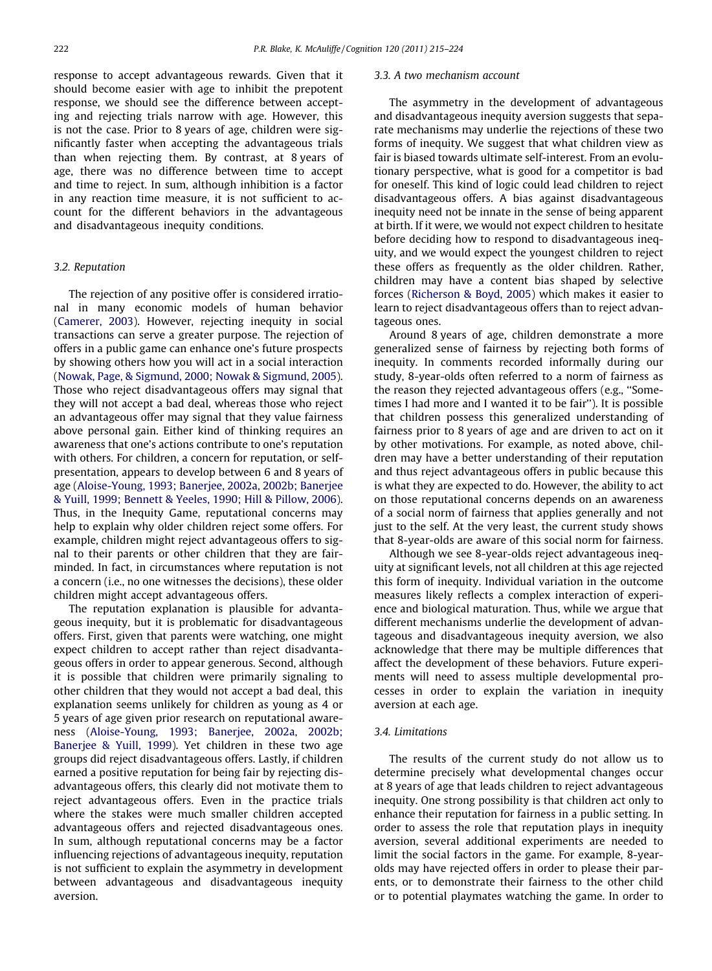response to accept advantageous rewards. Given that it should become easier with age to inhibit the prepotent response, we should see the difference between accepting and rejecting trials narrow with age. However, this is not the case. Prior to 8 years of age, children were significantly faster when accepting the advantageous trials than when rejecting them. By contrast, at 8 years of age, there was no difference between time to accept and time to reject. In sum, although inhibition is a factor in any reaction time measure, it is not sufficient to account for the different behaviors in the advantageous and disadvantageous inequity conditions.

# 3.2. Reputation

The rejection of any positive offer is considered irrational in many economic models of human behavior [\(Camerer, 2003](#page-8-0)). However, rejecting inequity in social transactions can serve a greater purpose. The rejection of offers in a public game can enhance one's future prospects by showing others how you will act in a social interaction [\(Nowak, Page, & Sigmund, 2000; Nowak & Sigmund, 2005](#page-9-0)). Those who reject disadvantageous offers may signal that they will not accept a bad deal, whereas those who reject an advantageous offer may signal that they value fairness above personal gain. Either kind of thinking requires an awareness that one's actions contribute to one's reputation with others. For children, a concern for reputation, or selfpresentation, appears to develop between 6 and 8 years of age [\(Aloise-Young, 1993; Banerjee, 2002a, 2002b; Banerjee](#page-8-0) [& Yuill, 1999; Bennett & Yeeles, 1990; Hill & Pillow, 2006](#page-8-0)). Thus, in the Inequity Game, reputational concerns may help to explain why older children reject some offers. For example, children might reject advantageous offers to signal to their parents or other children that they are fairminded. In fact, in circumstances where reputation is not a concern (i.e., no one witnesses the decisions), these older children might accept advantageous offers.

The reputation explanation is plausible for advantageous inequity, but it is problematic for disadvantageous offers. First, given that parents were watching, one might expect children to accept rather than reject disadvantageous offers in order to appear generous. Second, although it is possible that children were primarily signaling to other children that they would not accept a bad deal, this explanation seems unlikely for children as young as 4 or 5 years of age given prior research on reputational awareness [\(Aloise-Young, 1993; Banerjee, 2002a, 2002b;](#page-8-0) [Banerjee & Yuill, 1999](#page-8-0)). Yet children in these two age groups did reject disadvantageous offers. Lastly, if children earned a positive reputation for being fair by rejecting disadvantageous offers, this clearly did not motivate them to reject advantageous offers. Even in the practice trials where the stakes were much smaller children accepted advantageous offers and rejected disadvantageous ones. In sum, although reputational concerns may be a factor influencing rejections of advantageous inequity, reputation is not sufficient to explain the asymmetry in development between advantageous and disadvantageous inequity aversion.

### 3.3. A two mechanism account

The asymmetry in the development of advantageous and disadvantageous inequity aversion suggests that separate mechanisms may underlie the rejections of these two forms of inequity. We suggest that what children view as fair is biased towards ultimate self-interest. From an evolutionary perspective, what is good for a competitor is bad for oneself. This kind of logic could lead children to reject disadvantageous offers. A bias against disadvantageous inequity need not be innate in the sense of being apparent at birth. If it were, we would not expect children to hesitate before deciding how to respond to disadvantageous inequity, and we would expect the youngest children to reject these offers as frequently as the older children. Rather, children may have a content bias shaped by selective forces ([Richerson & Boyd, 2005](#page-9-0)) which makes it easier to learn to reject disadvantageous offers than to reject advantageous ones.

Around 8 years of age, children demonstrate a more generalized sense of fairness by rejecting both forms of inequity. In comments recorded informally during our study, 8-year-olds often referred to a norm of fairness as the reason they rejected advantageous offers (e.g., ''Sometimes I had more and I wanted it to be fair''). It is possible that children possess this generalized understanding of fairness prior to 8 years of age and are driven to act on it by other motivations. For example, as noted above, children may have a better understanding of their reputation and thus reject advantageous offers in public because this is what they are expected to do. However, the ability to act on those reputational concerns depends on an awareness of a social norm of fairness that applies generally and not just to the self. At the very least, the current study shows that 8-year-olds are aware of this social norm for fairness.

Although we see 8-year-olds reject advantageous inequity at significant levels, not all children at this age rejected this form of inequity. Individual variation in the outcome measures likely reflects a complex interaction of experience and biological maturation. Thus, while we argue that different mechanisms underlie the development of advantageous and disadvantageous inequity aversion, we also acknowledge that there may be multiple differences that affect the development of these behaviors. Future experiments will need to assess multiple developmental processes in order to explain the variation in inequity aversion at each age.

### 3.4. Limitations

The results of the current study do not allow us to determine precisely what developmental changes occur at 8 years of age that leads children to reject advantageous inequity. One strong possibility is that children act only to enhance their reputation for fairness in a public setting. In order to assess the role that reputation plays in inequity aversion, several additional experiments are needed to limit the social factors in the game. For example, 8-yearolds may have rejected offers in order to please their parents, or to demonstrate their fairness to the other child or to potential playmates watching the game. In order to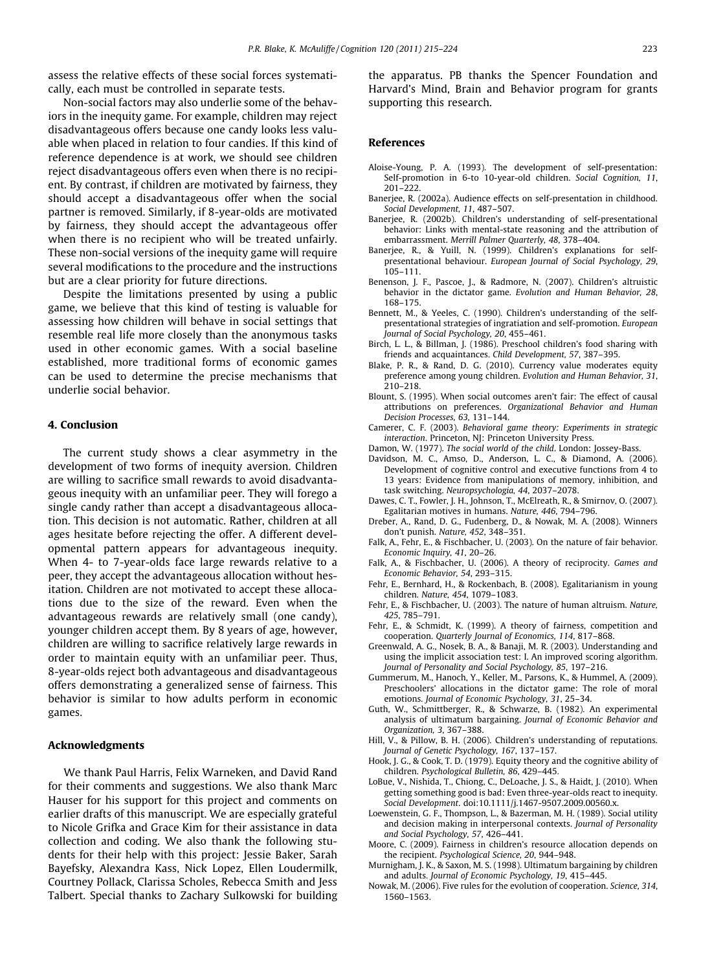<span id="page-8-0"></span>assess the relative effects of these social forces systematically, each must be controlled in separate tests.

Non-social factors may also underlie some of the behaviors in the inequity game. For example, children may reject disadvantageous offers because one candy looks less valuable when placed in relation to four candies. If this kind of reference dependence is at work, we should see children reject disadvantageous offers even when there is no recipient. By contrast, if children are motivated by fairness, they should accept a disadvantageous offer when the social partner is removed. Similarly, if 8-year-olds are motivated by fairness, they should accept the advantageous offer when there is no recipient who will be treated unfairly. These non-social versions of the inequity game will require several modifications to the procedure and the instructions but are a clear priority for future directions.

Despite the limitations presented by using a public game, we believe that this kind of testing is valuable for assessing how children will behave in social settings that resemble real life more closely than the anonymous tasks used in other economic games. With a social baseline established, more traditional forms of economic games can be used to determine the precise mechanisms that underlie social behavior.

# 4. Conclusion

The current study shows a clear asymmetry in the development of two forms of inequity aversion. Children are willing to sacrifice small rewards to avoid disadvantageous inequity with an unfamiliar peer. They will forego a single candy rather than accept a disadvantageous allocation. This decision is not automatic. Rather, children at all ages hesitate before rejecting the offer. A different developmental pattern appears for advantageous inequity. When 4- to 7-year-olds face large rewards relative to a peer, they accept the advantageous allocation without hesitation. Children are not motivated to accept these allocations due to the size of the reward. Even when the advantageous rewards are relatively small (one candy), younger children accept them. By 8 years of age, however, children are willing to sacrifice relatively large rewards in order to maintain equity with an unfamiliar peer. Thus, 8-year-olds reject both advantageous and disadvantageous offers demonstrating a generalized sense of fairness. This behavior is similar to how adults perform in economic games.

## Acknowledgments

We thank Paul Harris, Felix Warneken, and David Rand for their comments and suggestions. We also thank Marc Hauser for his support for this project and comments on earlier drafts of this manuscript. We are especially grateful to Nicole Grifka and Grace Kim for their assistance in data collection and coding. We also thank the following students for their help with this project: Jessie Baker, Sarah Bayefsky, Alexandra Kass, Nick Lopez, Ellen Loudermilk, Courtney Pollack, Clarissa Scholes, Rebecca Smith and Jess Talbert. Special thanks to Zachary Sulkowski for building the apparatus. PB thanks the Spencer Foundation and Harvard's Mind, Brain and Behavior program for grants supporting this research.

#### References

- Aloise-Young, P. A. (1993). The development of self-presentation: Self-promotion in 6-to 10-year-old children. Social Cognition, 11, 201–222.
- Banerjee, R. (2002a). Audience effects on self-presentation in childhood. Social Development, 11, 487–507.
- Banerjee, R. (2002b). Children's understanding of self-presentational behavior: Links with mental-state reasoning and the attribution of embarrassment. Merrill Palmer Quarterly, 48, 378–404.
- Banerjee, R., & Yuill, N. (1999). Children's explanations for selfpresentational behaviour. European Journal of Social Psychology, 29, 105–111.
- Benenson, J. F., Pascoe, J., & Radmore, N. (2007). Children's altruistic behavior in the dictator game. Evolution and Human Behavior, 28, 168–175.
- Bennett, M., & Yeeles, C. (1990). Children's understanding of the selfpresentational strategies of ingratiation and self-promotion. European Journal of Social Psychology, 20, 455–461.
- Birch, L. L., & Billman, J. (1986). Preschool children's food sharing with friends and acquaintances. Child Development, 57, 387–395.
- Blake, P. R., & Rand, D. G. (2010). Currency value moderates equity preference among young children. Evolution and Human Behavior, 31, 210–218.
- Blount, S. (1995). When social outcomes aren't fair: The effect of causal attributions on preferences. Organizational Behavior and Human Decision Processes, 63, 131–144.
- Camerer, C. F. (2003). Behavioral game theory: Experiments in strategic interaction. Princeton, NJ: Princeton University Press.
- Damon, W. (1977). The social world of the child. London: Jossey-Bass.
- Davidson, M. C., Amso, D., Anderson, L. C., & Diamond, A. (2006). Development of cognitive control and executive functions from 4 to 13 years: Evidence from manipulations of memory, inhibition, and task switching. Neuropsychologia, 44, 2037–2078.
- Dawes, C. T., Fowler, J. H., Johnson, T., McElreath, R., & Smirnov, O. (2007). Egalitarian motives in humans. Nature, 446, 794–796.
- Dreber, A., Rand, D. G., Fudenberg, D., & Nowak, M. A. (2008). Winners don't punish. Nature, 452, 348–351.
- Falk, A., Fehr, E., & Fischbacher, U. (2003). On the nature of fair behavior. Economic Inquiry, 41, 20–26.
- Falk, A., & Fischbacher, U. (2006). A theory of reciprocity. Games and Economic Behavior, 54, 293–315.
- Fehr, E., Bernhard, H., & Rockenbach, B. (2008). Egalitarianism in young children. Nature, 454, 1079–1083.
- Fehr, E., & Fischbacher, U. (2003). The nature of human altruism. Nature, 425, 785–791.
- Fehr, E., & Schmidt, K. (1999). A theory of fairness, competition and cooperation. Quarterly Journal of Economics, 114, 817–868.
- Greenwald, A. G., Nosek, B. A., & Banaji, M. R. (2003). Understanding and using the implicit association test: I. An improved scoring algorithm. Journal of Personality and Social Psychology, 85, 197–216.
- Gummerum, M., Hanoch, Y., Keller, M., Parsons, K., & Hummel, A. (2009). Preschoolers' allocations in the dictator game: The role of moral emotions. Journal of Economic Psychology, 31, 25–34.
- Guth, W., Schmittberger, R., & Schwarze, B. (1982). An experimental analysis of ultimatum bargaining. Journal of Economic Behavior and Organization, 3, 367–388.
- Hill, V., & Pillow, B. H. (2006). Children's understanding of reputations. Journal of Genetic Psychology, 167, 137–157.
- Hook, J. G., & Cook, T. D. (1979). Equity theory and the cognitive ability of children. Psychological Bulletin, 86, 429–445.
- LoBue, V., Nishida, T., Chiong, C., DeLoache, J. S., & Haidt, J. (2010). When getting something good is bad: Even three-year-olds react to inequity. Social Development. doi:10.1111/j.1467-9507.2009.00560.x.
- Loewenstein, G. F., Thompson, L., & Bazerman, M. H. (1989). Social utility and decision making in interpersonal contexts. Journal of Personality and Social Psychology, 57, 426–441.
- Moore, C. (2009). Fairness in children's resource allocation depends on the recipient. Psychological Science, 20, 944–948.
- Murnigham, J. K., & Saxon, M. S. (1998). Ultimatum bargaining by children and adults. Journal of Economic Psychology, 19, 415–445.
- Nowak, M. (2006). Five rules for the evolution of cooperation. Science, 314, 1560–1563.